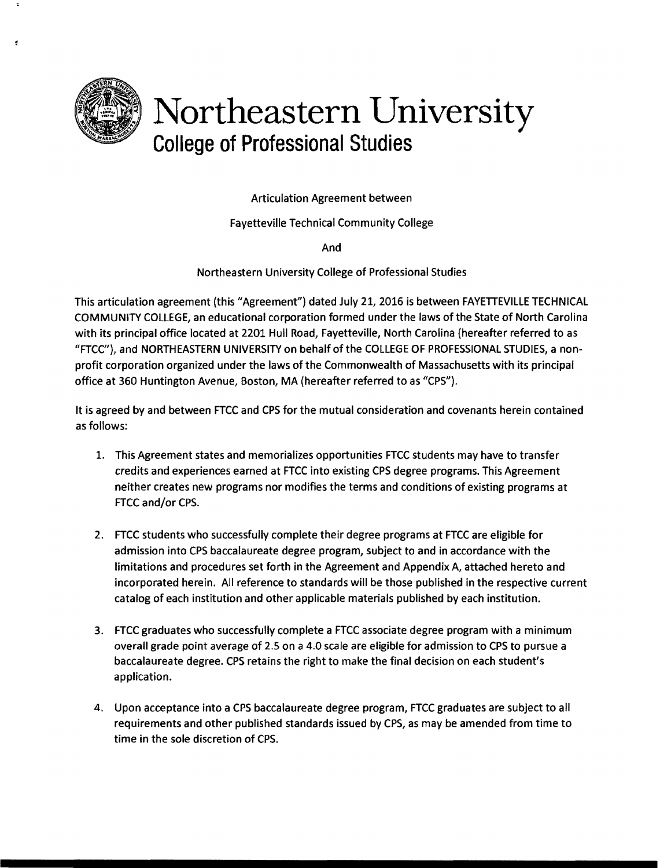

## Northeastern University **College of Professional Studies**

Articulation Agreement between

Fayetteville Technical Community College

And

Northeastern University College of Professional Studies

This articulation agreement (this "Agreement") dated July 21, 2016 is between FAYETTEVILLE TECHNICAL COMMUNITY COLLEGE, an educational corporation formed under the laws of the State of North Carolina with its principal office located at 2201 Hull Road, Fayetteville, North Carolina (hereafter referred to as "FTCC"), and NORTHEASTERN UNIVERSITY on behalf of the COLLEGE OF PROFESSIONAL STUDIES, a nonprofit corporation organized under the laws of the Commonwealth of Massachusetts with its principal office at 360 Huntington Avenue, Boston, MA (hereafter referred to as "CPS").

It is agreed by and between FTCC and CPS for the mutual consideration and covenants herein contained as follows:

- 1. This Agreement states and memorializes opportunities FTCC students may have to transfer credits and experiences earned at FTCC into existing CPS degree programs. This Agreement neither creates new programs nor modifies the terms and conditions of existing programs at FTCC and/or CPS.
- 2. FTCC students who successfully complete their degree programs at FTCC are eligible for admission into CPS baccalaureate degree program, subject to and in accordance with the limitations and procedures set forth in the Agreement and Appendix A, attached hereto and incorporated herein. All reference to standards will be those published in the respective current catalog of each institution and other applicable materials published by each institution.
- 3. FTCC graduates who successfully complete a FTCC associate degree program with a minimum overall grade point average of 2.5 on a 4.0 scale are eligible for admission to CPS to pursue a baccalaureate degree. CPS retains the right to make the final decision on each student's application.
- 4. Upon acceptance into a CPS baccalaureate degree program, FTCC graduates are subject to all requirements and other published standards issued by CPS, as may be amended from time to time in the sole discretion of CPS.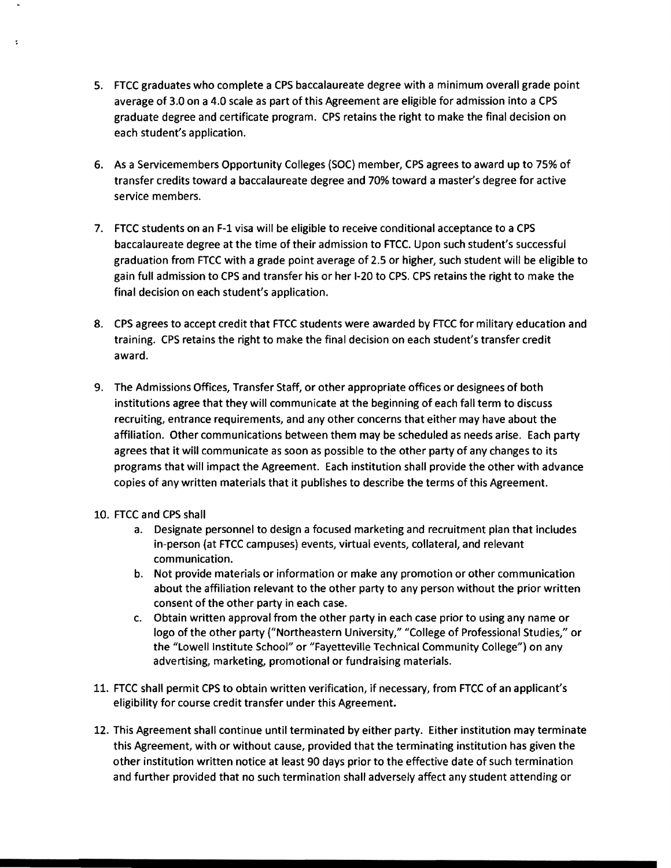- 5. FTCC graduates who complete a CPS baccalaureate degree with a minimum overall grade point average of 3.0 on a 4.0 scale as part of this Agreement are eligible for admission into a CPS graduate degree and certificate program. CPS retains the right to make the final decision on each student's application.
- 6. As a Servicemembers Opportunity Colleges (SOC) member, CPS agrees to award up to 75% of transfer credits toward a baccalaureate degree and 70% toward a master's degree for active service members.
- 7. FTCC students on an F-1 visa will be eligible to receive conditional acceptance to a CPS baccalaureate degree at the time of their admission to FTCC. Upon such student's successful graduation from FTCC with a grade point average of 2.5 or higher, such student will be eligible to gain full admission to CPS and transfer his or her 1-20 to CPS. CPS retains the right to make the final decision on each student's application.
- 8. CPS agrees to accept credit that FTCC students were awarded by FTCC for military education and training. CPS retains the right to make the final decision on each student's transfer credit award.
- 9. The Admissions Offices, Transfer Staff, or other appropriate offices or designees of both institutions agree that they will communicate at the beginning of each fall term to discuss recruiting, entrance requirements, and any other concerns that either may have about the affiliation. Other communications between them may be scheduled as needs arise. Each party agrees that it will communicate as soon as possible to the other party of any changes to its programs that will impact the Agreement. Each institution shall provide the other with advance copies of any written materials that it publishes to describe the terms of this Agreement.
- 10. FTCC and CPS shall

Ł

- a. Designate personnel to design a focused marketing and recruitment plan that includes in-person (at FTCC campuses) events, virtual events, collateral, and relevant communication.
- b. Not provide materials or information or make any promotion or other communication about the affiliation relevant to the other party to any person without the prior written consent of the other party in each case.
- c. Obtain written approval from the other party in each case prior to using any name or logo of the other party ("Northeastern University," "College of Professional Studies," or the "lowell Institute School" or "Fayetteville Technical Community College") on any advertising, marketing, promotional or fundraising materials.
- 11. FTCC shall permit CPS to obtain written verification, if necessary, from FTCC of an applicant's eligibility for course credit transfer under this Agreement.
- 12. This Agreement shall continue until terminated by either party. Either institution may terminate this Agreement, with or without cause, provided that the terminating institution has given the other institution written notice at least 90 days prior to the effective date of such termination and further provided that no such termination shall adversely affect any student attending or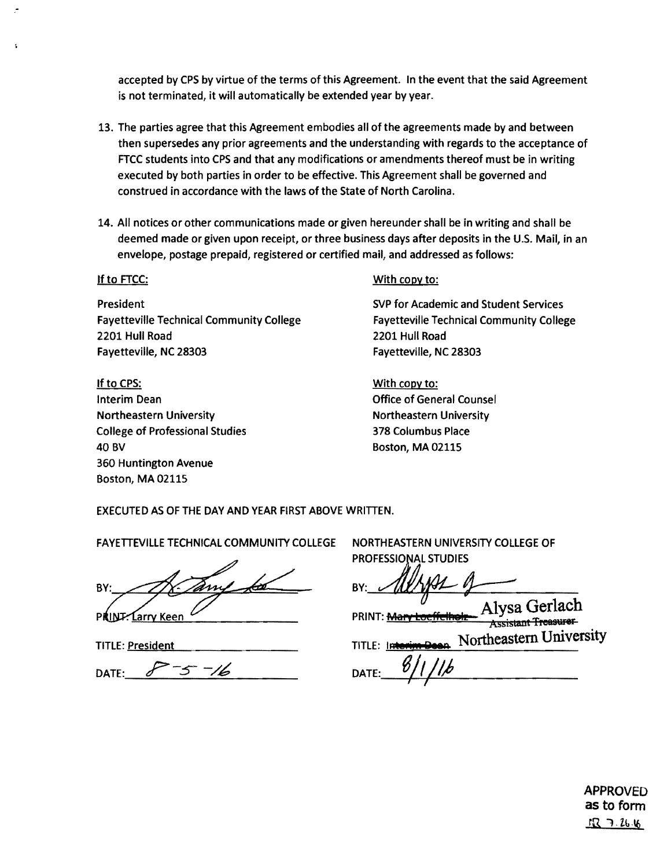accepted by CPS by virtue of the terms of this Agreement. In the event that the said Agreement is not terminated, it will automatically be extended year by year.

- 13. The parties agree that this Agreement embodies all of the agreements made by and between then supersedes any prior agreements and the understanding with regards to the acceptance of FTCC students into CPS and that any modifications or amendments thereof must be in writing executed by both parties in order to be effective. This Agreement shall be governed and construed in accordance with the laws of the State of North Carolina.
- 14. All notices or other communications made or given hereunder shall be in writing and shall be deemed made or given upon receipt, or three business days after deposits in the U.S. Mail, in an envelope, postage prepaid, registered or certified mail, and addressed as follows:

**President SVP for Academic and Student Services** Fayetteville Technical Community College Fayetteville Technical Community College 2201 Hull Road 2201 Hull Road Fayetteville, NC 28303 Fayetteville, NC 28303

If to cps: With copy to: Interim Dean **Interim Dean Counsel** Northeastern University **Northeastern University** College of Professional Studies 378 Columbus Place 40 BV Boston, MA 02115 360 Huntington Avenue Boston, MA 02115

## If to FTCC: With copy to:

EXECUTED AS OF THE DAY AND YEAR FIRST ABOVE WRITIEN.

FAYETIEVILLE TECHNICAL COMMUNITY COLLEGE NORTHEASTERN UNIVERSITY COLLEGE OF

 $A$ FAYETTEVILLE TECHNICAL COMMUNITY COLLEGE NORTHEASTERN UNIVERSITY COLL<br>BY: BY: ALLYAL AND BY: ALLYAL A PRINT: Mary Loeffelhole Alysa Gerlach Assistant Treasurer TITLE: <u>President TITLE: Interim Dean</u> Northeastern University DATE:\_-=-?\_-\_S\_.....;../.4-.:::~~\_\_\_ DATE:\_\_el--'-~+-~",-,-I)\_\_\_\_\_ I I

> APPROVED as to form  $IR$  7.  $26.16$